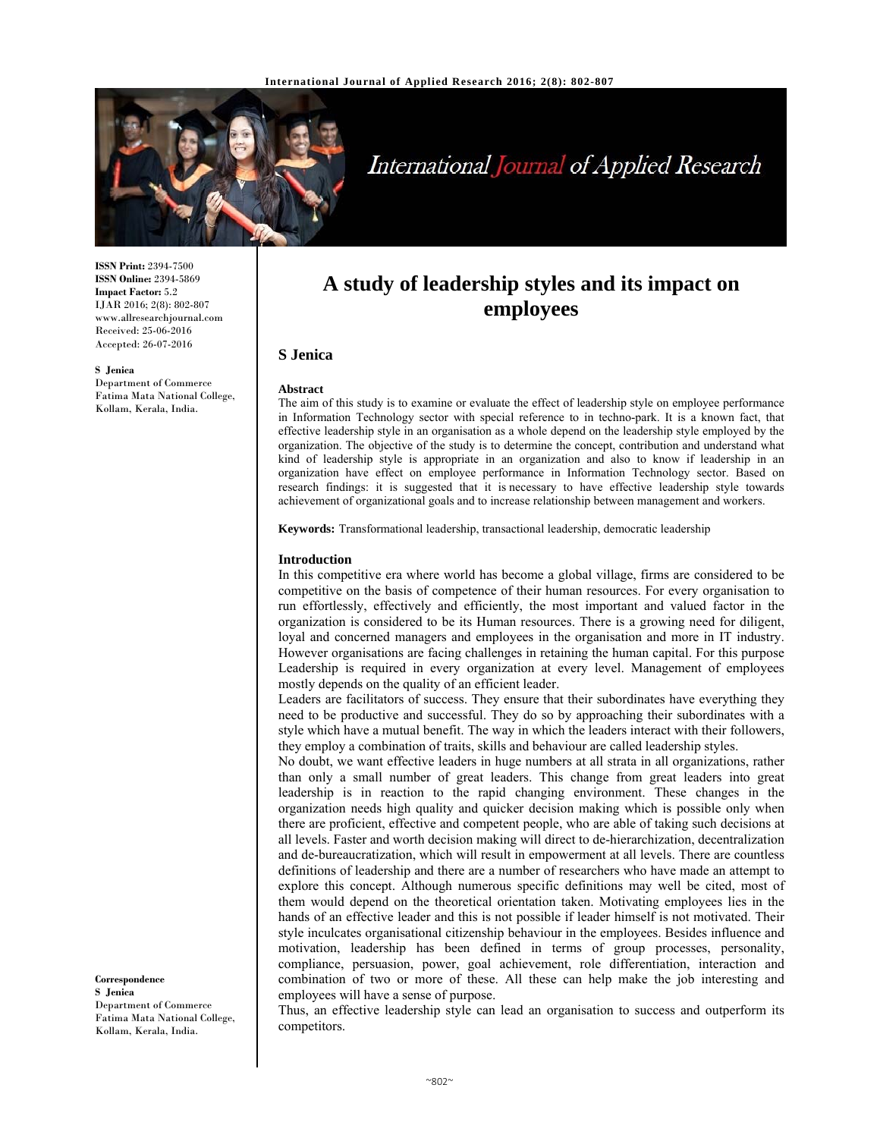

# International Journal of Applied Research

**ISSN Print:** 2394-7500 **ISSN Online:** 2394-5869 **Impact Factor:** 5.2 IJAR 2016; 2(8): 802-807 www.allresearchjournal.com Received: 25-06-2016 Accepted: 26-07-2016

**S Jenica** 

Department of Commerce Fatima Mata National College, Kollam, Kerala, India.

# **A study of leadership styles and its impact on employees**

# **S Jenica**

#### **Abstract**

The aim of this study is to examine or evaluate the effect of leadership style on employee performance in Information Technology sector with special reference to in techno-park. It is a known fact, that effective leadership style in an organisation as a whole depend on the leadership style employed by the organization. The objective of the study is to determine the concept, contribution and understand what kind of leadership style is appropriate in an organization and also to know if leadership in an organization have effect on employee performance in Information Technology sector. Based on research findings: it is suggested that it is necessary to have effective leadership style towards achievement of organizational goals and to increase relationship between management and workers.

**Keywords:** Transformational leadership, transactional leadership, democratic leadership

#### **Introduction**

In this competitive era where world has become a global village, firms are considered to be competitive on the basis of competence of their human resources. For every organisation to run effortlessly, effectively and efficiently, the most important and valued factor in the organization is considered to be its Human resources. There is a growing need for diligent, loyal and concerned managers and employees in the organisation and more in IT industry. However organisations are facing challenges in retaining the human capital. For this purpose Leadership is required in every organization at every level. Management of employees mostly depends on the quality of an efficient leader.

Leaders are facilitators of success. They ensure that their subordinates have everything they need to be productive and successful. They do so by approaching their subordinates with a style which have a mutual benefit. The way in which the leaders interact with their followers, they employ a combination of traits, skills and behaviour are called leadership styles.

No doubt, we want effective leaders in huge numbers at all strata in all organizations, rather than only a small number of great leaders. This change from great leaders into great leadership is in reaction to the rapid changing environment. These changes in the organization needs high quality and quicker decision making which is possible only when there are proficient, effective and competent people, who are able of taking such decisions at all levels. Faster and worth decision making will direct to de-hierarchization, decentralization and de-bureaucratization, which will result in empowerment at all levels. There are countless definitions of leadership and there are a number of researchers who have made an attempt to explore this concept. Although numerous specific definitions may well be cited, most of them would depend on the theoretical orientation taken. Motivating employees lies in the hands of an effective leader and this is not possible if leader himself is not motivated. Their style inculcates organisational citizenship behaviour in the employees. Besides influence and motivation, leadership has been defined in terms of group processes, personality, compliance, persuasion, power, goal achievement, role differentiation, interaction and combination of two or more of these. All these can help make the job interesting and employees will have a sense of purpose.

**S Jenica**  Department of Commerce Fatima Mata National College, Kollam, Kerala, India.

**Correspondence**

Thus, an effective leadership style can lead an organisation to success and outperform its competitors.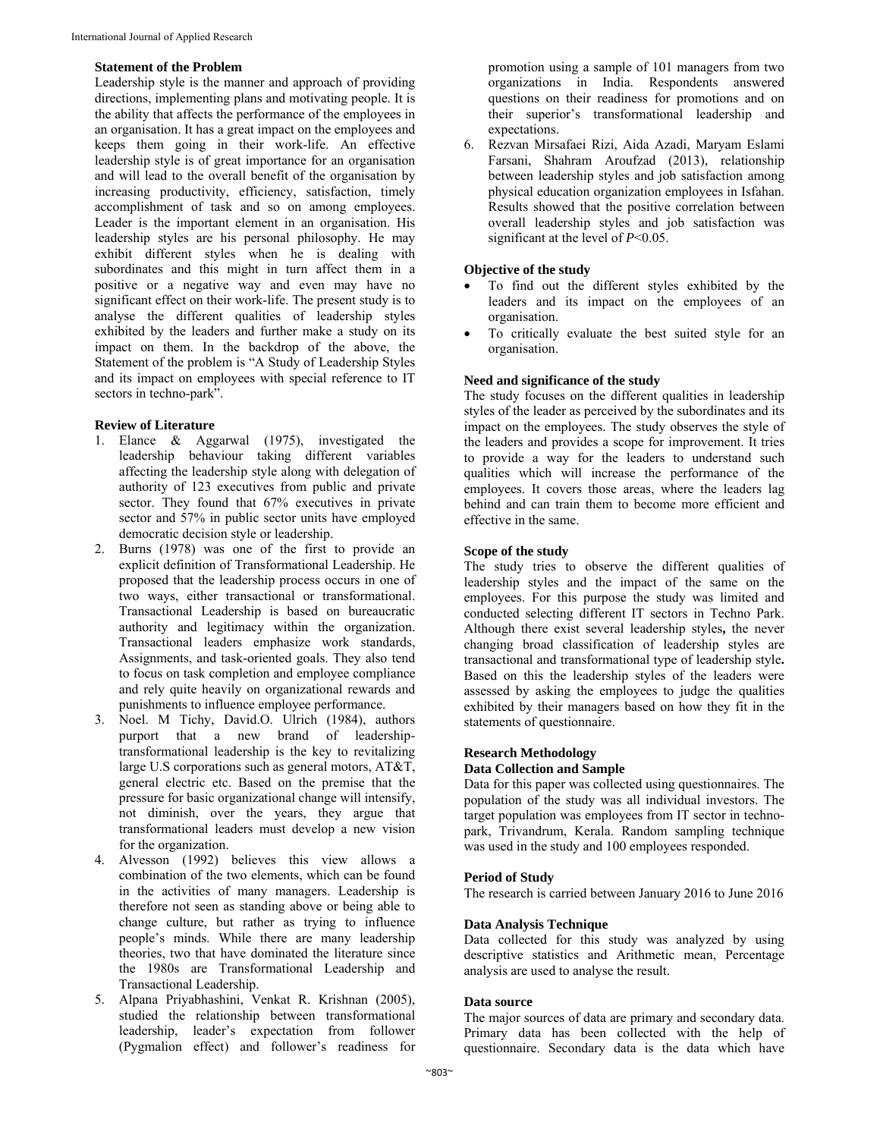## **Statement of the Problem**

Leadership style is the manner and approach of providing directions, implementing plans and motivating people. It is the ability that affects the performance of the employees in an organisation. It has a great impact on the employees and keeps them going in their work-life. An effective leadership style is of great importance for an organisation and will lead to the overall benefit of the organisation by increasing productivity, efficiency, satisfaction, timely accomplishment of task and so on among employees. Leader is the important element in an organisation. His leadership styles are his personal philosophy. He may exhibit different styles when he is dealing with subordinates and this might in turn affect them in a positive or a negative way and even may have no significant effect on their work-life. The present study is to analyse the different qualities of leadership styles exhibited by the leaders and further make a study on its impact on them. In the backdrop of the above, the Statement of the problem is "A Study of Leadership Styles and its impact on employees with special reference to IT sectors in techno-park".

# **Review of Literature**

- 1. Elance & Aggarwal (1975), investigated the leadership behaviour taking different variables affecting the leadership style along with delegation of authority of 123 executives from public and private sector. They found that 67% executives in private sector and 57% in public sector units have employed democratic decision style or leadership.
- 2. Burns (1978) was one of the first to provide an explicit definition of Transformational Leadership. He proposed that the leadership process occurs in one of two ways, either transactional or transformational. Transactional Leadership is based on bureaucratic authority and legitimacy within the organization. Transactional leaders emphasize work standards, Assignments, and task-oriented goals. They also tend to focus on task completion and employee compliance and rely quite heavily on organizational rewards and punishments to influence employee performance.
- 3. Noel. M Tichy, David.O. Ulrich (1984), authors purport that a new brand of leadershiptransformational leadership is the key to revitalizing large U.S corporations such as general motors, AT&T, general electric etc. Based on the premise that the pressure for basic organizational change will intensify, not diminish, over the years, they argue that transformational leaders must develop a new vision for the organization.
- 4. Alvesson (1992) believes this view allows a combination of the two elements, which can be found in the activities of many managers. Leadership is therefore not seen as standing above or being able to change culture, but rather as trying to influence people's minds. While there are many leadership theories, two that have dominated the literature since the 1980s are Transformational Leadership and Transactional Leadership.
- 5. Alpana Priyabhashini, Venkat R. Krishnan (2005), studied the relationship between transformational leadership, leader's expectation from follower (Pygmalion effect) and follower's readiness for

promotion using a sample of 101 managers from two organizations in India. Respondents answered questions on their readiness for promotions and on their superior's transformational leadership and expectations.

6. Rezvan Mirsafaei Rizi, Aida Azadi, Maryam Eslami Farsani, Shahram Aroufzad (2013), relationship between leadership styles and job satisfaction among physical education organization employees in Isfahan. Results showed that the positive correlation between overall leadership styles and job satisfaction was significant at the level of *P*<0.05.

# **Objective of the study**

- To find out the different styles exhibited by the leaders and its impact on the employees of an organisation.
- To critically evaluate the best suited style for an organisation.

# **Need and significance of the study**

The study focuses on the different qualities in leadership styles of the leader as perceived by the subordinates and its impact on the employees. The study observes the style of the leaders and provides a scope for improvement. It tries to provide a way for the leaders to understand such qualities which will increase the performance of the employees. It covers those areas, where the leaders lag behind and can train them to become more efficient and effective in the same.

# **Scope of the study**

The study tries to observe the different qualities of leadership styles and the impact of the same on the employees. For this purpose the study was limited and conducted selecting different IT sectors in Techno Park. Although there exist several leadership styles**,** the never changing broad classification of leadership styles are transactional and transformational type of leadership style**.**  Based on this the leadership styles of the leaders were assessed by asking the employees to judge the qualities exhibited by their managers based on how they fit in the statements of questionnaire.

#### **Research Methodology**

#### **Data Collection and Sample**

Data for this paper was collected using questionnaires. The population of the study was all individual investors. The target population was employees from IT sector in technopark, Trivandrum, Kerala. Random sampling technique was used in the study and 100 employees responded.

#### **Period of Study**

The research is carried between January 2016 to June 2016

# **Data Analysis Technique**

Data collected for this study was analyzed by using descriptive statistics and Arithmetic mean, Percentage analysis are used to analyse the result.

# **Data source**

The major sources of data are primary and secondary data. Primary data has been collected with the help of questionnaire. Secondary data is the data which have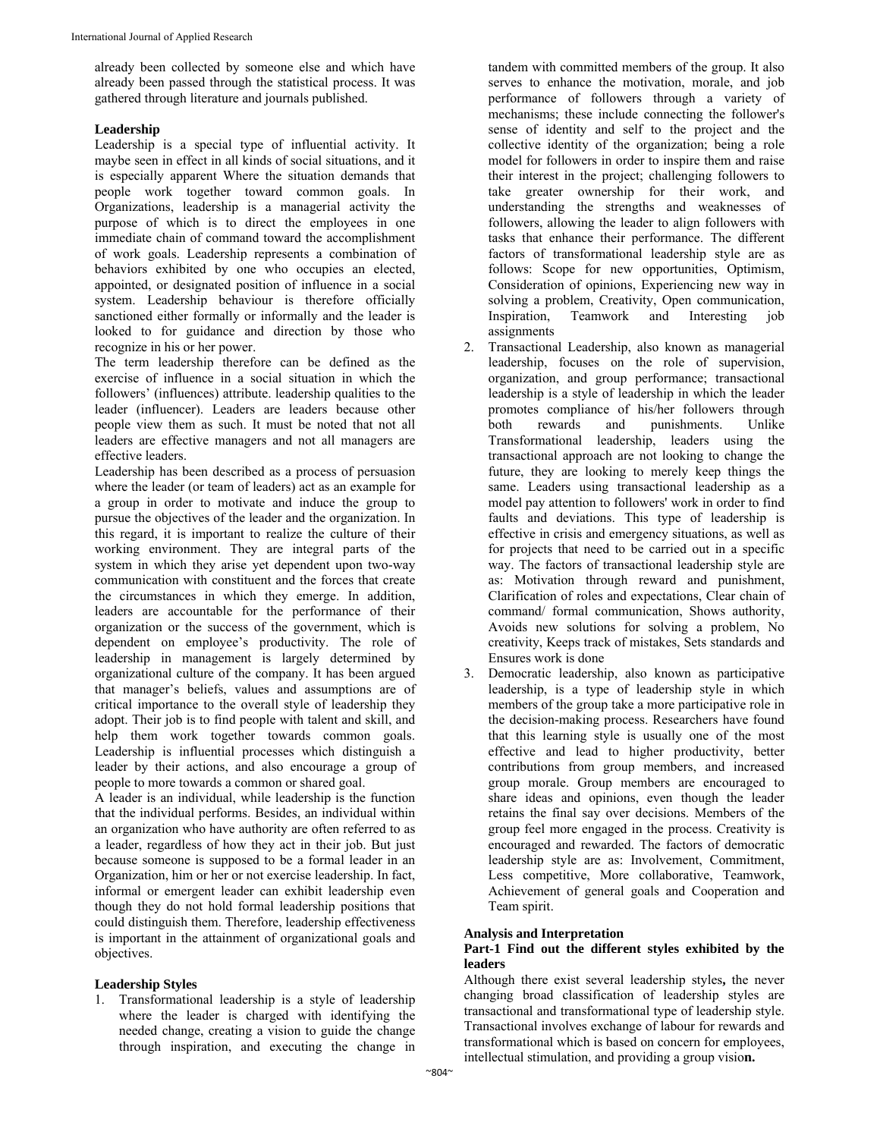already been collected by someone else and which have already been passed through the statistical process. It was gathered through literature and journals published.

# **Leadership**

Leadership is a special type of influential activity. It maybe seen in effect in all kinds of social situations, and it is especially apparent Where the situation demands that people work together toward common goals. In Organizations, leadership is a managerial activity the purpose of which is to direct the employees in one immediate chain of command toward the accomplishment of work goals. Leadership represents a combination of behaviors exhibited by one who occupies an elected, appointed, or designated position of influence in a social system. Leadership behaviour is therefore officially sanctioned either formally or informally and the leader is looked to for guidance and direction by those who recognize in his or her power.

The term leadership therefore can be defined as the exercise of influence in a social situation in which the followers' (influences) attribute. leadership qualities to the leader (influencer). Leaders are leaders because other people view them as such. It must be noted that not all leaders are effective managers and not all managers are effective leaders.

Leadership has been described as a process of persuasion where the leader (or team of leaders) act as an example for a group in order to motivate and induce the group to pursue the objectives of the leader and the organization. In this regard, it is important to realize the culture of their working environment. They are integral parts of the system in which they arise yet dependent upon two-way communication with constituent and the forces that create the circumstances in which they emerge. In addition, leaders are accountable for the performance of their organization or the success of the government, which is dependent on employee's productivity. The role of leadership in management is largely determined by organizational culture of the company. It has been argued that manager's beliefs, values and assumptions are of critical importance to the overall style of leadership they adopt. Their job is to find people with talent and skill, and help them work together towards common goals. Leadership is influential processes which distinguish a leader by their actions, and also encourage a group of people to more towards a common or shared goal.

A leader is an individual, while leadership is the function that the individual performs. Besides, an individual within an organization who have authority are often referred to as a leader, regardless of how they act in their job. But just because someone is supposed to be a formal leader in an Organization, him or her or not exercise leadership. In fact, informal or emergent leader can exhibit leadership even though they do not hold formal leadership positions that could distinguish them. Therefore, leadership effectiveness is important in the attainment of organizational goals and objectives.

# **Leadership Styles**

1. Transformational leadership is a style of leadership where the leader is charged with identifying the needed change, creating a vision to guide the change through inspiration, and executing the change in

tandem with committed members of the group. It also serves to enhance the motivation, morale, and job performance of followers through a variety of mechanisms; these include connecting the follower's sense of identity and self to the project and the collective identity of the organization; being a role model for followers in order to inspire them and raise their interest in the project; challenging followers to take greater ownership for their work, and understanding the strengths and weaknesses of followers, allowing the leader to align followers with tasks that enhance their performance. The different factors of transformational leadership style are as follows: Scope for new opportunities, Optimism, Consideration of opinions, Experiencing new way in solving a problem, Creativity, Open communication, Inspiration, Teamwork and Interesting job assignments

- 2. Transactional Leadership, also known as managerial leadership, focuses on the role of supervision, organization, and group performance; transactional leadership is a style of leadership in which the leader promotes compliance of his/her followers through both rewards and punishments. Unlike Transformational leadership, leaders using the transactional approach are not looking to change the future, they are looking to merely keep things the same. Leaders using transactional leadership as a model pay attention to followers' work in order to find faults and deviations. This type of leadership is effective in crisis and emergency situations, as well as for projects that need to be carried out in a specific way. The factors of transactional leadership style are as: Motivation through reward and punishment, Clarification of roles and expectations, Clear chain of command/ formal communication, Shows authority, Avoids new solutions for solving a problem, No creativity, Keeps track of mistakes, Sets standards and Ensures work is done
- 3. Democratic leadership, also known as participative leadership, is a type of leadership style in which members of the group take a more participative role in the decision-making process. Researchers have found that this learning style is usually one of the most effective and lead to higher productivity, better contributions from group members, and increased group morale. Group members are encouraged to share ideas and opinions, even though the leader retains the final say over decisions. Members of the group feel more engaged in the process. Creativity is encouraged and rewarded. The factors of democratic leadership style are as: Involvement, Commitment, Less competitive, More collaborative, Teamwork, Achievement of general goals and Cooperation and Team spirit.

# **Analysis and Interpretation**

# **Part-1 Find out the different styles exhibited by the leaders**

Although there exist several leadership styles**,** the never changing broad classification of leadership styles are transactional and transformational type of leadership style. Transactional involves exchange of labour for rewards and transformational which is based on concern for employees, intellectual stimulation, and providing a group visio**n.**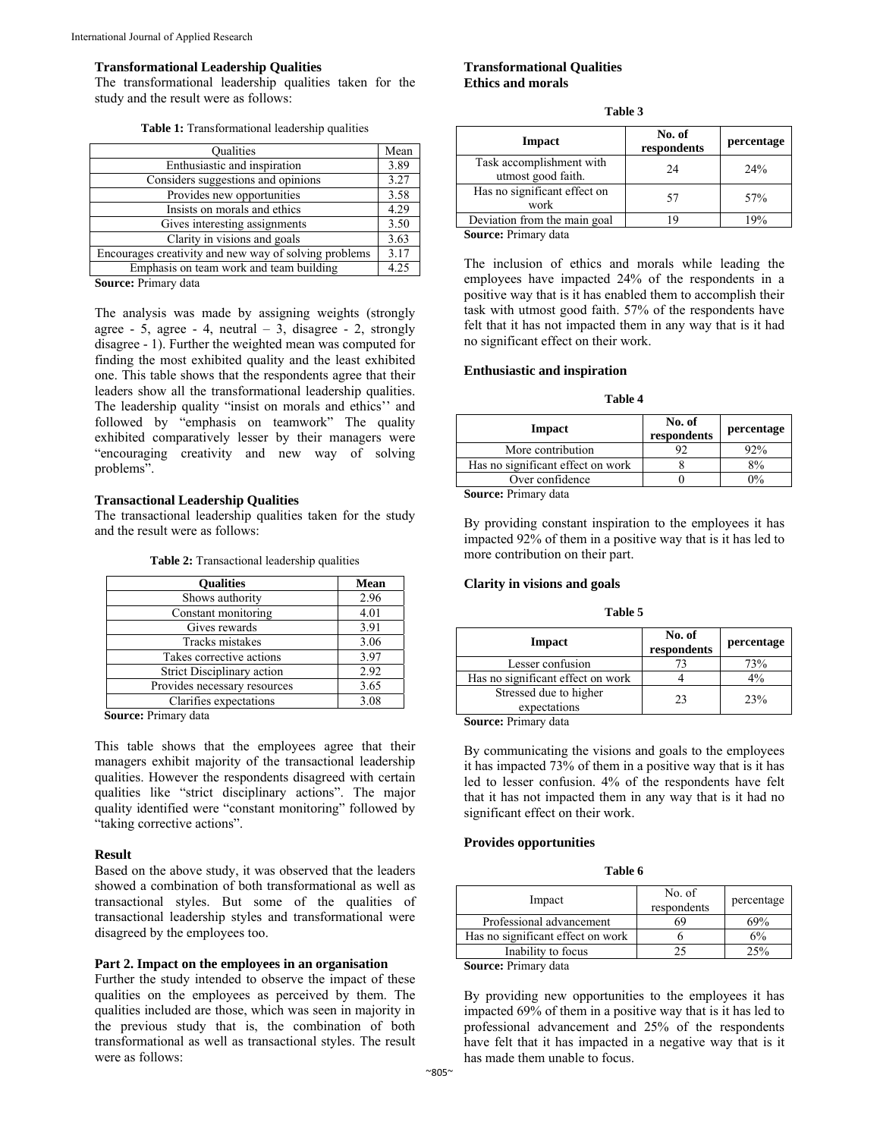#### **Transformational Leadership Qualities**

The transformational leadership qualities taken for the study and the result were as follows:

| <b>Qualities</b>                                      | Mean |
|-------------------------------------------------------|------|
| Enthusiastic and inspiration                          | 3.89 |
| Considers suggestions and opinions                    | 3.27 |
| Provides new opportunities                            | 3.58 |
| Insists on morals and ethics                          | 4.29 |
| Gives interesting assignments                         | 3.50 |
| Clarity in visions and goals                          | 3.63 |
| Encourages creativity and new way of solving problems | 3.17 |
| Emphasis on team work and team building               | 4.25 |

**Source:** Primary data

The analysis was made by assigning weights (strongly agree - 5, agree - 4, neutral  $-3$ , disagree - 2, strongly disagree - 1). Further the weighted mean was computed for finding the most exhibited quality and the least exhibited one. This table shows that the respondents agree that their leaders show all the transformational leadership qualities. The leadership quality "insist on morals and ethics'' and followed by "emphasis on teamwork" The quality exhibited comparatively lesser by their managers were "encouraging creativity and new way of solving problems".

#### **Transactional Leadership Qualities**

The transactional leadership qualities taken for the study and the result were as follows:

|  | Table 2: Transactional leadership qualities |  |  |
|--|---------------------------------------------|--|--|
|--|---------------------------------------------|--|--|

| <b>Oualities</b>             | <b>Mean</b> |
|------------------------------|-------------|
| Shows authority              | 2.96        |
| Constant monitoring          | 4.01        |
| Gives rewards                | 3.91        |
| Tracks mistakes              | 3.06        |
| Takes corrective actions     | 3.97        |
| Strict Disciplinary action   | 2.92        |
| Provides necessary resources | 3.65        |
| Clarifies expectations       | 3.08        |

**Source:** Primary data

This table shows that the employees agree that their managers exhibit majority of the transactional leadership qualities. However the respondents disagreed with certain qualities like "strict disciplinary actions". The major quality identified were "constant monitoring" followed by "taking corrective actions".

#### **Result**

Based on the above study, it was observed that the leaders showed a combination of both transformational as well as transactional styles. But some of the qualities of transactional leadership styles and transformational were disagreed by the employees too.

# **Part 2. Impact on the employees in an organisation**

Further the study intended to observe the impact of these qualities on the employees as perceived by them. The qualities included are those, which was seen in majority in the previous study that is, the combination of both transformational as well as transactional styles. The result were as follows:

#### **Transformational Qualities Ethics and morals**

| н<br>٠<br>۰,<br>v |  |
|-------------------|--|
|-------------------|--|

| Impact                                         | No. of<br>respondents | percentage |
|------------------------------------------------|-----------------------|------------|
| Task accomplishment with<br>utmost good faith. | 24                    | 24%        |
| Has no significant effect on<br>work           | 57                    | 57%        |
| Deviation from the main goal                   | 19                    | 19%        |
| Source: Primary data                           |                       |            |

The inclusion of ethics and morals while leading the employees have impacted 24% of the respondents in a positive way that is it has enabled them to accomplish their task with utmost good faith. 57% of the respondents have felt that it has not impacted them in any way that is it had no significant effect on their work.

#### **Enthusiastic and inspiration**

#### **Table 4**

| Impact                            | No. of<br>respondents | percentage |
|-----------------------------------|-----------------------|------------|
| More contribution                 | 92                    | 92%        |
| Has no significant effect on work |                       | 8%         |
| Over confidence                   |                       | $0\%$      |
| Source: Primary data              |                       |            |

**Source:** Primary data

By providing constant inspiration to the employees it has impacted 92% of them in a positive way that is it has led to more contribution on their part.

#### **Clarity in visions and goals**

| anı<br>г |  |
|----------|--|
|----------|--|

| Impact                                 | No. of<br>respondents | percentage |
|----------------------------------------|-----------------------|------------|
| Lesser confusion                       |                       | 73%        |
| Has no significant effect on work      |                       | $4\%$      |
| Stressed due to higher<br>expectations | 23                    | 23%        |

**Source:** Primary data

By communicating the visions and goals to the employees it has impacted 73% of them in a positive way that is it has led to lesser confusion. 4% of the respondents have felt that it has not impacted them in any way that is it had no significant effect on their work.

#### **Provides opportunities**

| `able 6 |  |
|---------|--|
|---------|--|

| Impact                            | No. of<br>respondents | percentage |
|-----------------------------------|-----------------------|------------|
| Professional advancement          | 69                    | 69%        |
| Has no significant effect on work |                       | 6%         |
| Inability to focus                |                       | 25%        |
| - -<br>$\sim$<br>$\sim$           |                       |            |

**Source:** Primary data

By providing new opportunities to the employees it has impacted 69% of them in a positive way that is it has led to professional advancement and 25% of the respondents have felt that it has impacted in a negative way that is it has made them unable to focus.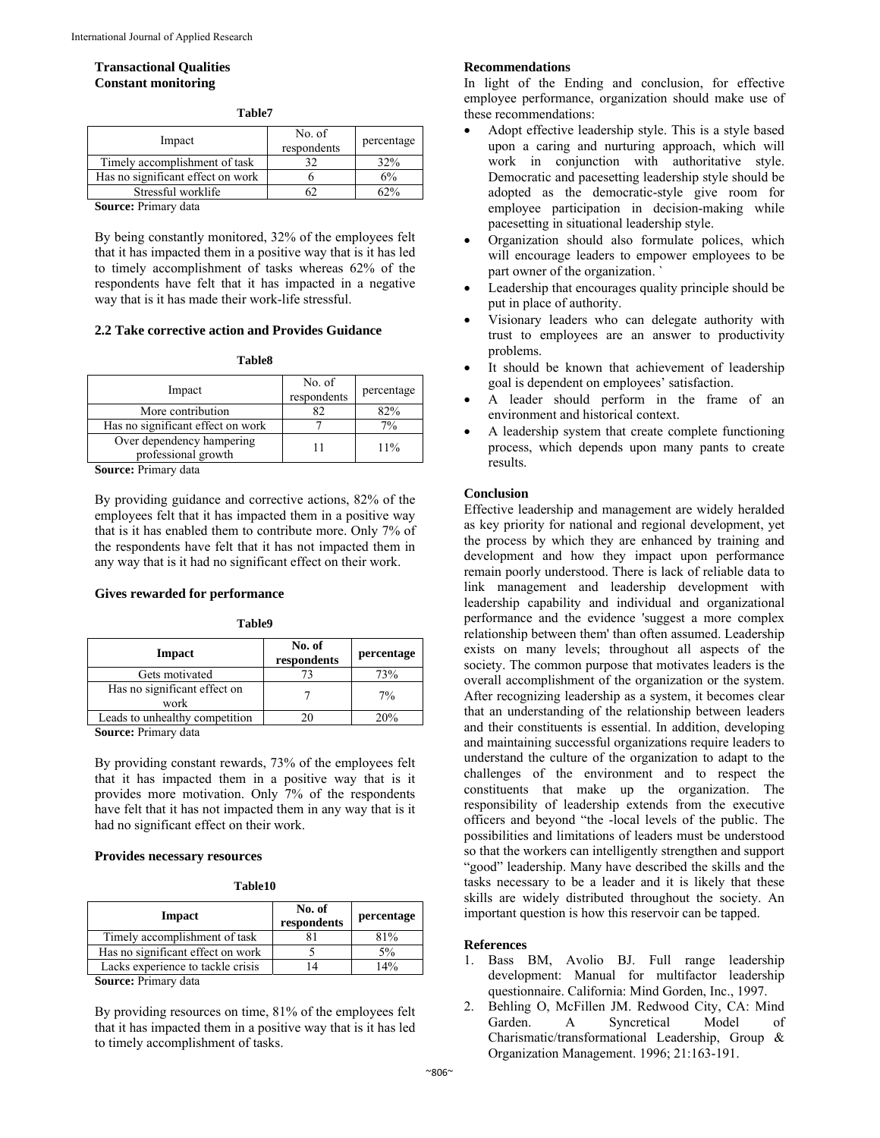# **Transactional Qualities Constant monitoring**

| Impact                            | No. of<br>respondents | percentage |
|-----------------------------------|-----------------------|------------|
| Timely accomplishment of task     |                       | 32%        |
| Has no significant effect on work |                       | 6%         |
| Stressful worklife                |                       |            |
| $\mathbf{r}$ .<br>$\sim$          |                       |            |

**Table7** 

**Source:** Primary data

By being constantly monitored, 32% of the employees felt that it has impacted them in a positive way that is it has led to timely accomplishment of tasks whereas 62% of the respondents have felt that it has impacted in a negative way that is it has made their work-life stressful.

# **2.2 Take corrective action and Provides Guidance**

#### **Table8**

| Impact                                           | No. of<br>respondents | percentage |
|--------------------------------------------------|-----------------------|------------|
| More contribution                                |                       | 82%        |
| Has no significant effect on work                |                       | 7%         |
| Over dependency hampering<br>professional growth |                       | $11\%$     |

**Source:** Primary data

By providing guidance and corrective actions, 82% of the employees felt that it has impacted them in a positive way that is it has enabled them to contribute more. Only 7% of the respondents have felt that it has not impacted them in any way that is it had no significant effect on their work.

#### **Gives rewarded for performance**

**Table9** 

| Impact                               | No. of<br>respondents | percentage |
|--------------------------------------|-----------------------|------------|
| Gets motivated                       |                       | 73%        |
| Has no significant effect on<br>work |                       | 7%         |
| Leads to unhealthy competition       |                       | 20%        |
| Source: Primary data                 |                       |            |

**Source:** Primary data

By providing constant rewards, 73% of the employees felt that it has impacted them in a positive way that is it provides more motivation. Only 7% of the respondents have felt that it has not impacted them in any way that is it had no significant effect on their work.

#### **Provides necessary resources**

**Table10** 

| No. of<br>respondents | percentage |
|-----------------------|------------|
|                       | 81%        |
|                       | 5%         |
|                       | 14%        |
|                       |            |

**Source:** Primary data

By providing resources on time, 81% of the employees felt that it has impacted them in a positive way that is it has led to timely accomplishment of tasks.

#### **Recommendations**

In light of the Ending and conclusion, for effective employee performance, organization should make use of these recommendations:

- Adopt effective leadership style. This is a style based upon a caring and nurturing approach, which will work in conjunction with authoritative style. Democratic and pacesetting leadership style should be adopted as the democratic-style give room for employee participation in decision-making while pacesetting in situational leadership style.
- Organization should also formulate polices, which will encourage leaders to empower employees to be part owner of the organization. `
- Leadership that encourages quality principle should be put in place of authority.
- Visionary leaders who can delegate authority with trust to employees are an answer to productivity problems.
- It should be known that achievement of leadership goal is dependent on employees' satisfaction.
- A leader should perform in the frame of an environment and historical context.
- A leadership system that create complete functioning process, which depends upon many pants to create results.

#### **Conclusion**

Effective leadership and management are widely heralded as key priority for national and regional development, yet the process by which they are enhanced by training and development and how they impact upon performance remain poorly understood. There is lack of reliable data to link management and leadership development with leadership capability and individual and organizational performance and the evidence 'suggest a more complex relationship between them' than often assumed. Leadership exists on many levels; throughout all aspects of the society. The common purpose that motivates leaders is the overall accomplishment of the organization or the system. After recognizing leadership as a system, it becomes clear that an understanding of the relationship between leaders and their constituents is essential. In addition, developing and maintaining successful organizations require leaders to understand the culture of the organization to adapt to the challenges of the environment and to respect the constituents that make up the organization. The responsibility of leadership extends from the executive officers and beyond "the -local levels of the public. The possibilities and limitations of leaders must be understood so that the workers can intelligently strengthen and support "good" leadership. Many have described the skills and the tasks necessary to be a leader and it is likely that these skills are widely distributed throughout the society. An important question is how this reservoir can be tapped.

#### **References**

- 1. Bass BM, Avolio BJ. Full range leadership development: Manual for multifactor leadership questionnaire. California: Mind Gorden, Inc., 1997.
- 2. Behling O, McFillen JM. Redwood City, CA: Mind Garden. A Syncretical Model of Charismatic/transformational Leadership, Group & Organization Management. 1996; 21:163-191.